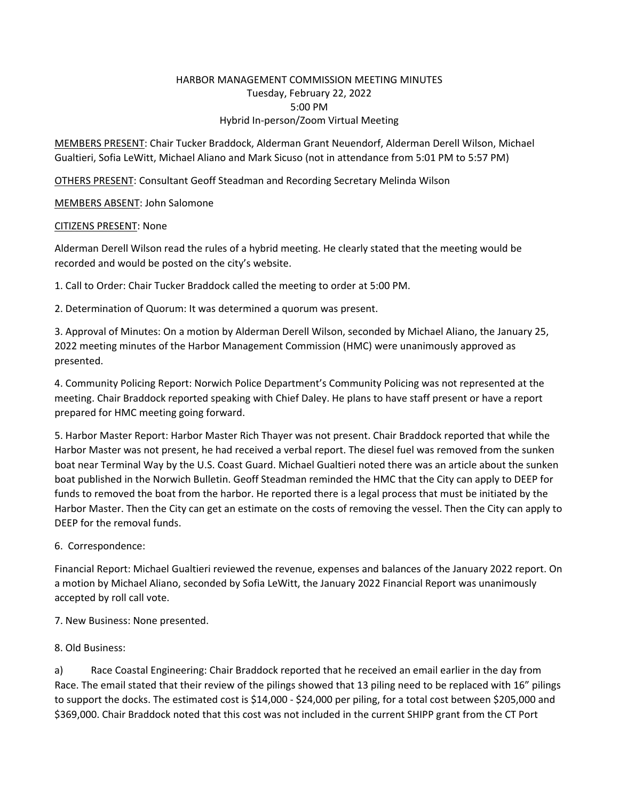## HARBOR MANAGEMENT COMMISSION MEETING MINUTES Tuesday, February 22, 2022 5:00 PM Hybrid In‐person/Zoom Virtual Meeting

MEMBERS PRESENT: Chair Tucker Braddock, Alderman Grant Neuendorf, Alderman Derell Wilson, Michael Gualtieri, Sofia LeWitt, Michael Aliano and Mark Sicuso (not in attendance from 5:01 PM to 5:57 PM)

OTHERS PRESENT: Consultant Geoff Steadman and Recording Secretary Melinda Wilson

MEMBERS ABSENT: John Salomone

## CITIZENS PRESENT: None

Alderman Derell Wilson read the rules of a hybrid meeting. He clearly stated that the meeting would be recorded and would be posted on the city's website.

1. Call to Order: Chair Tucker Braddock called the meeting to order at 5:00 PM.

2. Determination of Quorum: It was determined a quorum was present.

3. Approval of Minutes: On a motion by Alderman Derell Wilson, seconded by Michael Aliano, the January 25, 2022 meeting minutes of the Harbor Management Commission (HMC) were unanimously approved as presented.

4. Community Policing Report: Norwich Police Department's Community Policing was not represented at the meeting. Chair Braddock reported speaking with Chief Daley. He plans to have staff present or have a report prepared for HMC meeting going forward.

5. Harbor Master Report: Harbor Master Rich Thayer was not present. Chair Braddock reported that while the Harbor Master was not present, he had received a verbal report. The diesel fuel was removed from the sunken boat near Terminal Way by the U.S. Coast Guard. Michael Gualtieri noted there was an article about the sunken boat published in the Norwich Bulletin. Geoff Steadman reminded the HMC that the City can apply to DEEP for funds to removed the boat from the harbor. He reported there is a legal process that must be initiated by the Harbor Master. Then the City can get an estimate on the costs of removing the vessel. Then the City can apply to DEEP for the removal funds.

## 6. Correspondence:

Financial Report: Michael Gualtieri reviewed the revenue, expenses and balances of the January 2022 report. On a motion by Michael Aliano, seconded by Sofia LeWitt, the January 2022 Financial Report was unanimously accepted by roll call vote.

7. New Business: None presented.

8. Old Business:

a) Race Coastal Engineering: Chair Braddock reported that he received an email earlier in the day from Race. The email stated that their review of the pilings showed that 13 piling need to be replaced with 16" pilings to support the docks. The estimated cost is \$14,000 - \$24,000 per piling, for a total cost between \$205,000 and \$369,000. Chair Braddock noted that this cost was not included in the current SHIPP grant from the CT Port